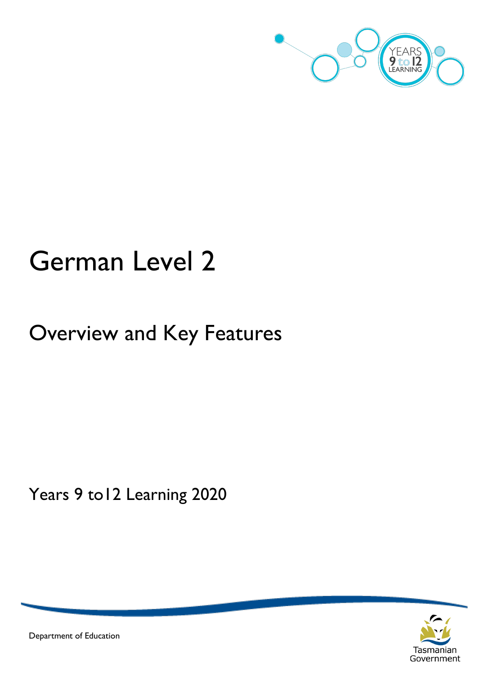

# German Level 2

## Overview and Key Features

Years 9 to12 Learning 2020



Department of Education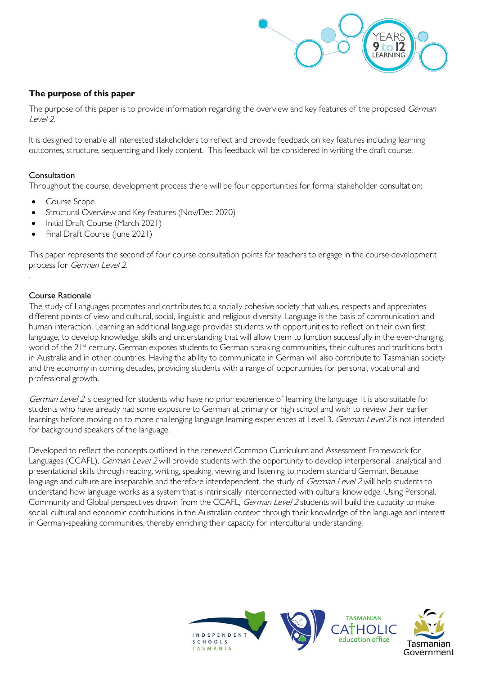

#### **The purpose of this paper**

The purpose of this paper is to provide information regarding the overview and key features of the proposed German Level 2.

It is designed to enable all interested stakeholders to reflect and provide feedback on key features including learning outcomes, structure, sequencing and likely content. This feedback will be considered in writing the draft course.

#### Consultation

Throughout the course, development process there will be four opportunities for formal stakeholder consultation:

- Course Scope
- Structural Overview and Key features (Nov/Dec 2020)
- Initial Draft Course (March 2021)
- Final Draft Course (June 2021)

This paper represents the second of four course consultation points for teachers to engage in the course development process for German Level 2.

#### Course Rationale

The study of Languages promotes and contributes to a socially cohesive society that values, respects and appreciates different points of view and cultural, social, linguistic and religious diversity. Language is the basis of communication and human interaction. Learning an additional language provides students with opportunities to reflect on their own first language, to develop knowledge, skills and understanding that will allow them to function successfully in the ever-changing world of the 21<sup>st</sup> century. German exposes students to German-speaking communities, their cultures and traditions both in Australia and in other countries. Having the ability to communicate in German will also contribute to Tasmanian society and the economy in coming decades, providing students with a range of opportunities for personal, vocational and professional growth.

German Level 2 is designed for students who have no prior experience of learning the language. It is also suitable for students who have already had some exposure to German at primary or high school and wish to review their earlier learnings before moving on to more challenging language learning experiences at Level 3. German Level 2 is not intended for background speakers of the language.

Developed to reflect the concepts outlined in the renewed Common Curriculum and Assessment Framework for Languages (CCAFL), German Level 2 will provide students with the opportunity to develop interpersonal, analytical and presentational skills through reading, writing, speaking, viewing and listening to modern standard German. Because language and culture are inseparable and therefore interdependent, the study of German Level 2 will help students to understand how language works as a system that is intrinsically interconnected with cultural knowledge. Using Personal, Community and Global perspectives drawn from the CCAFL, German Level 2 students will build the capacity to make social, cultural and economic contributions in the Australian context through their knowledge of the language and interest in German-speaking communities, thereby enriching their capacity for intercultural understanding.

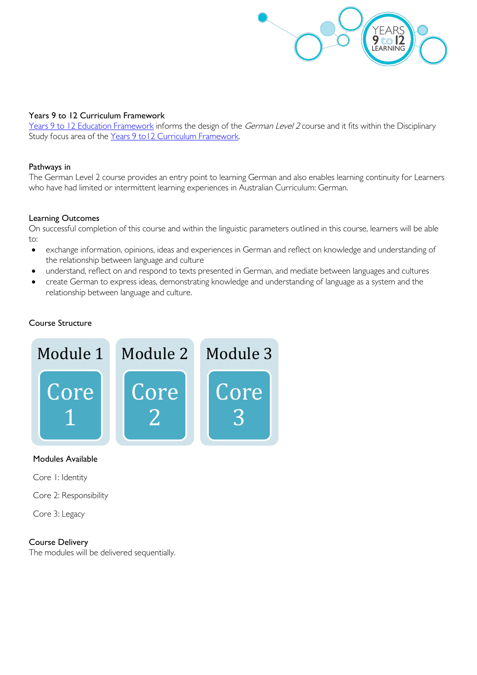

#### Years 9 to 12 Curriculum Framework

[Years 9 to 12 Education Framework](https://publicdocumentcentre.education.tas.gov.au/library/Shared%20Documents/Years-9-to-12-Education-Framework.pdf) informs the design of the German Level 2 course and it fits within the Disciplinary Study focus area of the Years 9 to 12 Curriculum Framework.

#### Pathways in

The German Level 2 course provides an entry point to learning German and also enables learning continuity for Learners who have had limited or intermittent learning experiences in Australian Curriculum: German.

#### Learning Outcomes

On successful completion of this course and within the linguistic parameters outlined in this course, learners will be able to:

- exchange information, opinions, ideas and experiences in German and reflect on knowledge and understanding of the relationship between language and culture
- understand, reflect on and respond to texts presented in German, and mediate between languages and cultures
- create German to express ideas, demonstrating knowledge and understanding of language as a system and the relationship between language and culture.

#### Course Structure



#### Modules Available

Core 1: Identity

Core 2: Responsibility

Core 3: Legacy

#### Course Delivery

The modules will be delivered sequentially.